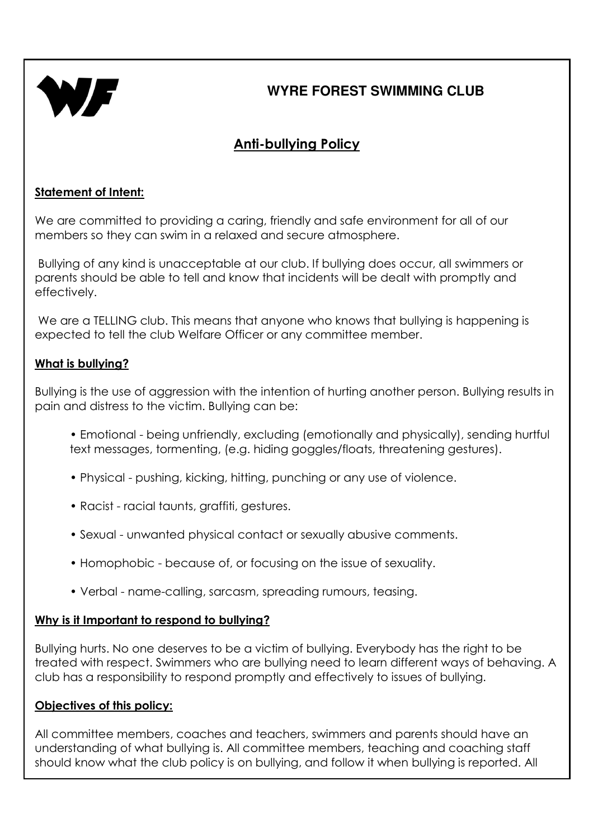

## Anti-bullying Policy

### Statement of Intent:

We are committed to providing a caring, friendly and safe environment for all of our members so they can swim in a relaxed and secure atmosphere.

 Bullying of any kind is unacceptable at our club. If bullying does occur, all swimmers or parents should be able to tell and know that incidents will be dealt with promptly and effectively.

We are a TELLING club. This means that anyone who knows that bullying is happening is expected to tell the club Welfare Officer or any committee member.

#### What is bullying?

Bullying is the use of aggression with the intention of hurting another person. Bullying results in pain and distress to the victim. Bullying can be:

- Emotional being unfriendly, excluding (emotionally and physically), sending hurtful text messages, tormenting, (e.g. hiding goggles/floats, threatening gestures).
- Physical pushing, kicking, hitting, punching or any use of violence.
- Racist racial taunts, graffiti, gestures.
- Sexual unwanted physical contact or sexually abusive comments.
- Homophobic because of, or focusing on the issue of sexuality.
- Verbal name-calling, sarcasm, spreading rumours, teasing.

#### Why is it Important to respond to bullying?

Bullying hurts. No one deserves to be a victim of bullying. Everybody has the right to be treated with respect. Swimmers who are bullying need to learn different ways of behaving. A club has a responsibility to respond promptly and effectively to issues of bullying.

#### Objectives of this policy:

All committee members, coaches and teachers, swimmers and parents should have an understanding of what bullying is. All committee members, teaching and coaching staff should know what the club policy is on bullying, and follow it when bullying is reported. All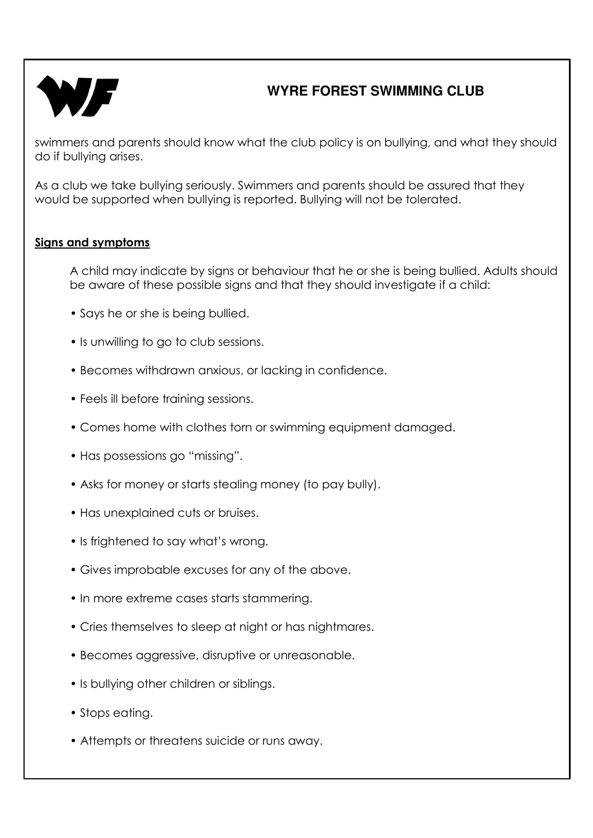

swimmers and parents should know what the club policy is on bullying, and what they should do if bullying arises.

As a club we take bullying seriously. Swimmers and parents should be assured that they would be supported when bullying is reported. Bullying will not be tolerated.

### Signs and symptoms

A child may indicate by signs or behaviour that he or she is being bullied. Adults should be aware of these possible signs and that they should investigate if a child:

- Says he or she is being bullied.
- Is unwilling to go to club sessions.
- Becomes withdrawn anxious, or lacking in confidence.
- Feels ill before training sessions.
- Comes home with clothes torn or swimming equipment damaged.
- Has possessions go "missing".
- Asks for money or starts stealing money (to pay bully).
- Has unexplained cuts or bruises.
- Is frightened to say what's wrong.
- Gives improbable excuses for any of the above.
- In more extreme cases starts stammering.
- Cries themselves to sleep at night or has nightmares.
- Becomes aggressive, disruptive or unreasonable.
- Is bullying other children or siblings.
- Stops eating.
- Attempts or threatens suicide or runs away.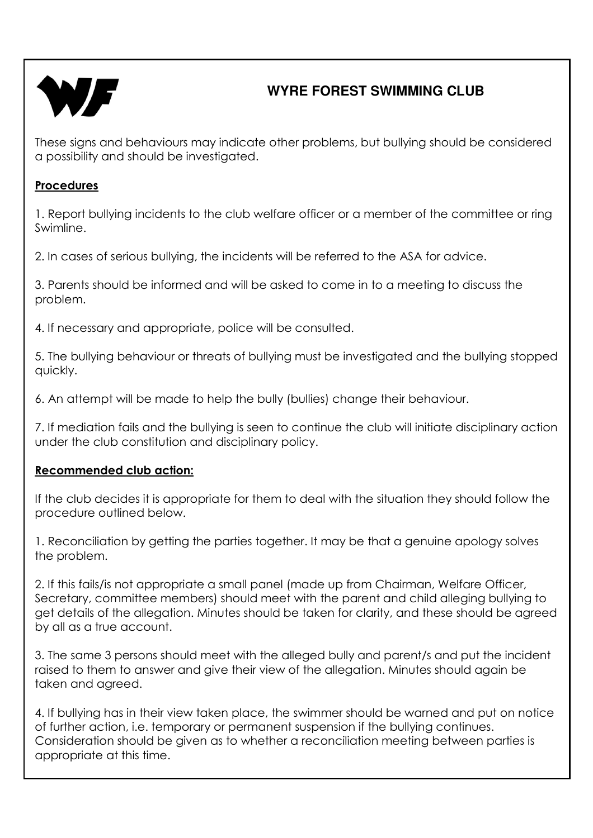

These signs and behaviours may indicate other problems, but bullying should be considered a possibility and should be investigated.

#### Procedures

1. Report bullying incidents to the club welfare officer or a member of the committee or ring Swimline.

2. In cases of serious bullying, the incidents will be referred to the ASA for advice.

3. Parents should be informed and will be asked to come in to a meeting to discuss the problem.

4. If necessary and appropriate, police will be consulted.

5. The bullying behaviour or threats of bullying must be investigated and the bullying stopped quickly.

6. An attempt will be made to help the bully (bullies) change their behaviour.

7. If mediation fails and the bullying is seen to continue the club will initiate disciplinary action under the club constitution and disciplinary policy.

### Recommended club action:

If the club decides it is appropriate for them to deal with the situation they should follow the procedure outlined below.

1. Reconciliation by getting the parties together. It may be that a genuine apology solves the problem.

2. If this fails/is not appropriate a small panel (made up from Chairman, Welfare Officer, Secretary, committee members) should meet with the parent and child alleging bullying to get details of the allegation. Minutes should be taken for clarity, and these should be agreed by all as a true account.

3. The same 3 persons should meet with the alleged bully and parent/s and put the incident raised to them to answer and give their view of the allegation. Minutes should again be taken and agreed.

4. If bullying has in their view taken place, the swimmer should be warned and put on notice of further action, i.e. temporary or permanent suspension if the bullying continues. Consideration should be given as to whether a reconciliation meeting between parties is appropriate at this time.